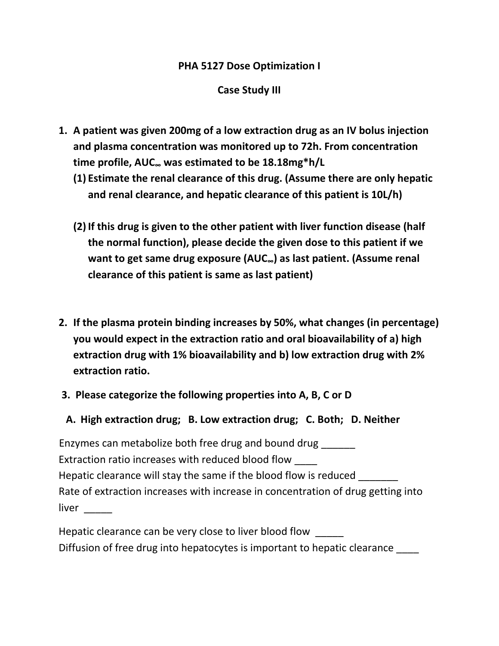## PHA 5127 Dose Optimization I

## Case Study III

- 1. A patient was given 200mg of a low extraction drug as an IV bolus injection and plasma concentration was monitored up to 72h. From concentration time profile, AUC∞ was estimated to be 18.18mg\*h/L
	- (1) Estimate the renal clearance of this drug. (Assume there are only hepatic and renal clearance, and hepatic clearance of this patient is 10L/h)
	- (2) If this drug is given to the other patient with liver function disease (half the normal function), please decide the given dose to this patient if we want to get same drug exposure (AUC∞) as last patient. (Assume renal clearance of this patient is same as last patient)
- 2. If the plasma protein binding increases by 50%, what changes (in percentage) you would expect in the extraction ratio and oral bioavailability of a) high extraction drug with 1% bioavailability and b) low extraction drug with 2% extraction ratio.
- 3. Please categorize the following properties into A, B, C or D
- A. High extraction drug; B. Low extraction drug; C. Both; D. Neither

 Enzymes can metabolize both free drug and bound drug \_\_\_\_\_\_ Extraction ratio increases with reduced blood flow \_\_\_\_ Hepatic clearance will stay the same if the blood flow is reduced Rate of extraction increases with increase in concentration of drug getting into liver \_\_\_\_\_

Hepatic clearance can be very close to liver blood flow Diffusion of free drug into hepatocytes is important to hepatic clearance \_\_\_\_